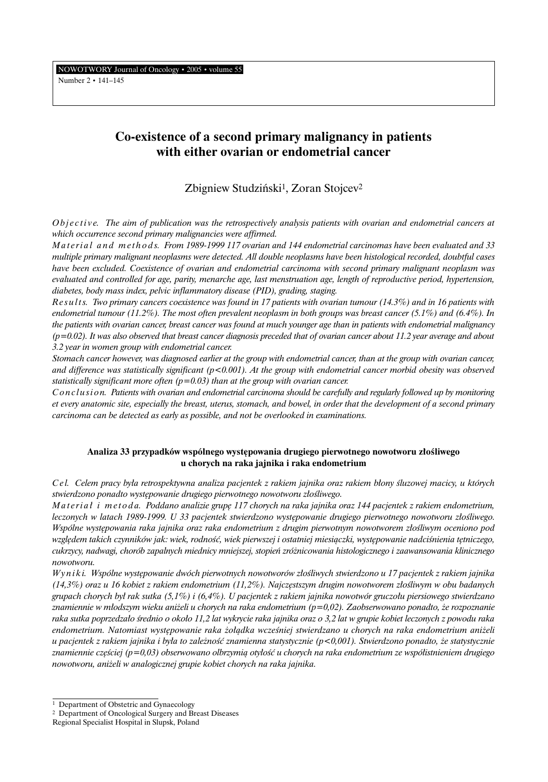Number 2 • 141–145

# **Co-existence of a second primary malignancy in patients with either ovarian or endometrial cancer**

## Zbigniew Studziński<sup>1</sup>, Zoran Stojcev<sup>2</sup>

*Objective.* The aim of publication was the retrospectively analysis patients with ovarian and endometrial cancers at *which occurrence second primary malignancies were affirmed.*

*Material and method s. From 1989-1999 117 ovarian and 144 endometrial carcinomas have been evaluated and 33 multiple primary malignant neoplasms were detected. All double neoplasms have been histological recorded, doubtful cases have been excluded. Coexistence of ovarian and endometrial carcinoma with second primary malignant neoplasm was evaluated and controlled for age, parity, menarche age, last menstruation age, length of reproductive period, hypertension, diabetes, body mass index, pelvic inflammatory disease (PID), grading, staging.*

*R e s u l t s. Two primary cancers coexistence was found in 17 patients with ovarian tumour (14.3%) and in 16 patients with endometrial tumour (11.2%). The most often prevalent neoplasm in both groups was breast cancer (5.1%) and (6.4%). In the patients with ovarian cancer, breast cancer was found at much younger age than in patients with endometrial malignancy (p=0.02). It was also observed that breast cancer diagnosis preceded that of ovarian cancer about 11.2 year average and about 3.2 year in women group with endometrial cancer.*

*Stomach cancer however, was diagnosed earlier at the group with endometrial cancer, than at the group with ovarian cancer, and difference was statistically significant (p<0.001). At the group with endometrial cancer morbid obesity was observed statistically significant more often (p=0.03) than at the group with ovarian cancer.*

*C o n c l u s i o n. Patients with ovarian and endometrial carcinoma should be carefully and regularly followed up by monitoring et every anatomic site, especially the breast, uterus, stomach, and bowel, in order that the development of a second primary carcinoma can be detected as early as possible, and not be overlooked in examinations.*

### Analiza 33 przypadków wspólnego występowania drugiego pierwotnego nowotworu złośliwego **u chorych na raka jajnika i raka endometrium**

*C e l. Celem pracy by∏a retrospektywna analiza pacjentek z rakiem jajnika oraz rakiem b∏ony Êluzowej macicy, u których stwierdzono ponadto wyst´powanie drugiego pierwotnego nowotworu z∏oÊliwego.*

*Materiał i metoda. Poddano analizie grupe 117 chorych na raka jajnika oraz 144 pacjentek z rakiem endometrium, leczonych w latach 1989-1999. U 33 pacjentek stwierdzono występowanie drugiego pierwotnego nowotworu złośliwego. Wspólne wyst´powania raka jajnika oraz raka endometrium z drugim pierwotnym nowotworem z∏oÊliwym oceniono pod* względem takich czynników jak: wiek, rodność, wiek pierwszej i ostatniej miesiączki, występowanie nadciśnienia tętniczego, *cukrzycy, nadwagi, chorób zapalnych miednicy mniejszej, stopieƒ zró˝nicowania histologicznego i zaawansowania klinicznego nowotworu.*

*W y n i k i. Wspólne wyst´powanie dwóch pierwotnych nowotworów z∏oÊliwych stwierdzono u 17 pacjentek z rakiem jajnika (14,3%) oraz u 16 kobiet z rakiem endometrium (11,2%). Najcz´stszym drugim nowotworem z∏oÊliwym w obu badanych grupach chorych by∏ rak sutka (5,1%) i (6,4%). U pacjentek z rakiem jajnika nowotwór gruczo∏u piersiowego stwierdzano znamiennie w m∏odszym wieku ani˝eli u chorych na raka endometrium (p=0,02). Zaobserwowano ponadto, ˝e rozpoznanie raka sutka poprzedza∏o Êrednio o oko∏o 11,2 lat wykrycie raka jajnika oraz o 3,2 lat w grupie kobiet leczonych z powodu raka endometrium. Natomiast wyst´powanie raka ˝o∏àdka wczeÊniej stwierdzano u chorych na raka endometrium ani˝eli u pacjentek z rakiem jajnika i była to zależność znamienna statystycznie (p<0,001). Stwierdzono ponadto, że statystycznie znamiennie cz´Êciej (p=0,03) obserwowano olbrzymià oty∏oÊç u chorych na raka endometrium ze wspó∏istnieniem drugiego nowotworu, ani˝eli w analogicznej grupie kobiet chorych na raka jajnika.*

<sup>&</sup>lt;sup>1</sup> Department of Obstetric and Gynaecology

<sup>2</sup> Department of Oncological Surgery and Breast Diseases

Regional Specialist Hospital in Slupsk, Poland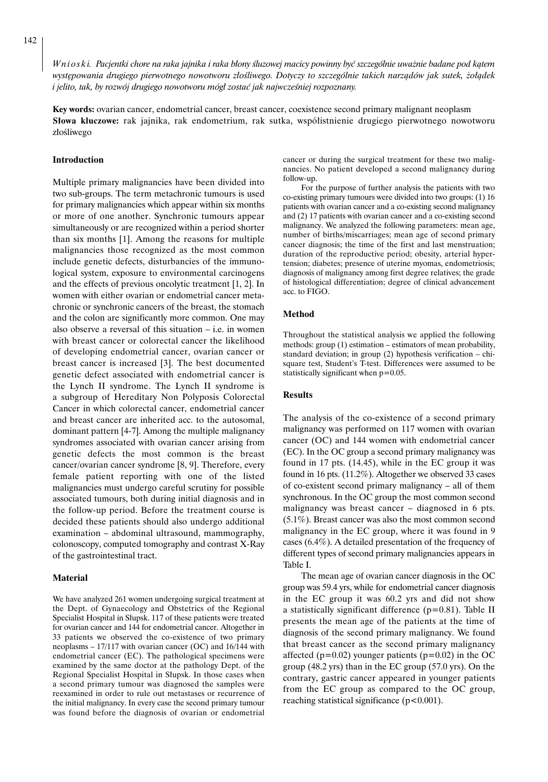142

*W n i o s k i. Pacjentki chore na raka jajnika i raka b∏ony Êluzowej macicy powinny byç szczególnie uwa˝nie badane pod kàtem wyst´powania drugiego pierwotnego nowotworu z∏oÊliwego. Dotyczy to szczególnie takich narzàdów jak sutek, ˝o∏àdek i jelito, tak, by rozwój drugiego nowotworu mógł zostać jak najwcześniej rozpoznany.* 

**Key words:** ovarian cancer, endometrial cancer, breast cancer, coexistence second primary malignant neoplasm **Słowa kluczowe:** rak jajnika, rak endometrium, rak sutka, współistnienie drugiego pierwotnego nowotworu złośliwego

#### **Introduction**

Multiple primary malignancies have been divided into two sub-groups. The term metachronic tumours is used for primary malignancies which appear within six months or more of one another. Synchronic tumours appear simultaneously or are recognized within a period shorter than six months [1]. Among the reasons for multiple malignancies those recognized as the most common include genetic defects, disturbancies of the immunological system, exposure to environmental carcinogens and the effects of previous oncolytic treatment [1, 2]. In women with either ovarian or endometrial cancer metachronic or synchronic cancers of the breast, the stomach and the colon are significantly more common. One may also observe a reversal of this situation – i.e. in women with breast cancer or colorectal cancer the likelihood of developing endometrial cancer, ovarian cancer or breast cancer is increased [3]. The best documented genetic defect associated with endometrial cancer is the Lynch II syndrome. The Lynch II syndrome is a subgroup of Hereditary Non Polyposis Colorectal Cancer in which colorectal cancer, endometrial cancer and breast cancer are inherited acc. to the autosomal, dominant pattern [4-7]. Among the multiple malignancy syndromes associated with ovarian cancer arising from genetic defects the most common is the breast cancer/ovarian cancer syndrome [8, 9]. Therefore, every female patient reporting with one of the listed malignancies must undergo careful scrutiny for possible associated tumours, both during initial diagnosis and in the follow-up period. Before the treatment course is decided these patients should also undergo additional examination – abdominal ultrasound, mammography, colonoscopy, computed tomography and contrast X-Ray of the gastrointestinal tract.

#### **Material**

We have analyzed 261 women undergoing surgical treatment at the Dept. of Gynaecology and Obstetrics of the Regional Specialist Hospital in Słupsk. 117 of these patients were treated for ovarian cancer and 144 for endometrial cancer. Altogether in 33 patients we observed the co-existence of two primary neoplasms – 17/117 with ovarian cancer (OC) and 16/144 with endometrial cancer (EC). The pathological specimens were examined by the same doctor at the pathology Dept. of the Regional Specialist Hospital in Słupsk. In those cases when a second primary tumour was diagnosed the samples were reexamined in order to rule out metastases or recurrence of the initial malignancy. In every case the second primary tumour was found before the diagnosis of ovarian or endometrial cancer or during the surgical treatment for these two malignancies. No patient developed a second malignancy during follow-up.

For the purpose of further analysis the patients with two co-existing primary tumours were divided into two groups: (1) 16 patients with ovarian cancer and a co-existing second malignancy and (2) 17 patients with ovarian cancer and a co-existing second malignancy. We analyzed the following parameters: mean age, number of births/miscarriages; mean age of second primary cancer diagnosis; the time of the first and last menstruation; duration of the reproductive period; obesity, arterial hypertension; diabetes; presence of uterine myomas, endometriosis; diagnosis of malignancy among first degree relatives; the grade of histological differentiation; degree of clinical advancement acc. to FIGO.

#### **Method**

Throughout the statistical analysis we applied the following methods: group (1) estimation – estimators of mean probability, standard deviation; in group (2) hypothesis verification – chisquare test, Student's T-test. Differences were assumed to be statistically significant when p=0.05.

#### **Results**

The analysis of the co-existence of a second primary malignancy was performed on 117 women with ovarian cancer (OC) and 144 women with endometrial cancer (EC). In the OC group a second primary malignancy was found in 17 pts. (14.45), while in the EC group it was found in 16 pts. (11.2%). Altogether we observed 33 cases of co-existent second primary malignancy – all of them synchronous. In the OC group the most common second malignancy was breast cancer – diagnosed in 6 pts. (5.1%). Breast cancer was also the most common second malignancy in the EC group, where it was found in 9 cases (6.4%). A detailed presentation of the frequency of different types of second primary malignancies appears in Table I.

The mean age of ovarian cancer diagnosis in the OC group was 59.4 yrs, while for endometrial cancer diagnosis in the EC group it was 60.2 yrs and did not show a statistically significant difference  $(p=0.81)$ . Table II presents the mean age of the patients at the time of diagnosis of the second primary malignancy. We found that breast cancer as the second primary malignancy affected ( $p=0.02$ ) younger patients ( $p=0.02$ ) in the OC group (48.2 yrs) than in the EC group (57.0 yrs). On the contrary, gastric cancer appeared in younger patients from the EC group as compared to the OC group, reaching statistical significance  $(p<0.001)$ .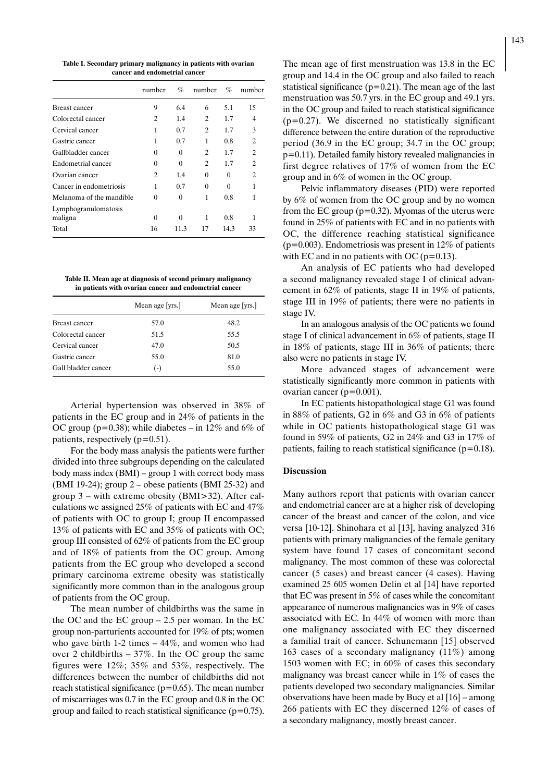**Table I. Secondary primary malignancy in patients with ovarian cancer and endometrial cancer**

|                          | number   | %        | number         | %        | number         |
|--------------------------|----------|----------|----------------|----------|----------------|
| Breast cancer            | 9        | 6.4      | 6              | 5.1      | 15             |
| Colorectal cancer        | 2        | 1.4      | 2              | 1.7      | 4              |
| Cervical cancer          | 1        | 0.7      | $\mathfrak{D}$ | 1.7      | 3              |
| Gastric cancer           | 1        | 0.7      | 1              | 0.8      | $\overline{c}$ |
| Gallbladder cancer       | 0        | 0        | 2              | 1.7      | $\overline{c}$ |
| Endometrial cancer       | 0        | $\Omega$ | 2              | 1.7      | 2              |
| Ovarian cancer           | 2        | 1.4      | 0              | 0        | $\mathfrak{D}$ |
| Cancer in endometriosis  | 1        | 0.7      | $\theta$       | $\Omega$ | 1              |
| Melanoma of the mandible | 0        | 0        | 1              | 0.8      | 1              |
| Lymphogranulomatosis     |          |          |                |          |                |
| maligna                  | $\Omega$ | 0        | 1              | 0.8      | 1              |
| Total                    | 16       | 11.3     | 17             | 14.3     | 33             |

**Table II. Mean age at diagnosis of second primary malignancy in patients with ovarian cancer and endometrial cancer**

|                     | Mean age [yrs.] | Mean age [yrs.] |
|---------------------|-----------------|-----------------|
| Breast cancer       | 57.0            | 48.2            |
| Colorectal cancer   | 51.5            | 55.5            |
| Cervical cancer     | 47.0            | 50.5            |
| Gastric cancer      | 55.0            | 81.0            |
| Gall bladder cancer | $(-)$           | 55.0            |

Arterial hypertension was observed in 38% of patients in the EC group and in 24% of patients in the OC group ( $p=0.38$ ); while diabetes – in 12% and 6% of patients, respectively  $(p=0.51)$ .

For the body mass analysis the patients were further divided into three subgroups depending on the calculated body mass index (BMI) – group 1 with correct body mass (BMI 19-24); group  $2$  – obese patients (BMI 25-32) and group 3 – with extreme obesity (BMI>32). After calculations we assigned 25% of patients with EC and 47% of patients with OC to group I; group II encompassed 13% of patients with EC and 35% of patients with OC; group III consisted of 62% of patients from the EC group and of 18% of patients from the OC group. Among patients from the EC group who developed a second primary carcinoma extreme obesity was statistically significantly more common than in the analogous group of patients from the OC group.

The mean number of childbirths was the same in the OC and the EC group – 2.5 per woman. In the EC group non-parturients accounted for 19% of pts; women who gave birth 1-2 times – 44%, and women who had over 2 childbirths – 37%. In the OC group the same figures were 12%; 35% and 53%, respectively. The differences between the number of childbirths did not reach statistical significance ( $p=0.65$ ). The mean number of miscarriages was 0.7 in the EC group and 0.8 in the OC group and failed to reach statistical significance  $(p=0.75)$ .

The mean age of first menstruation was 13.8 in the EC group and 14.4 in the OC group and also failed to reach statistical significance ( $p=0.21$ ). The mean age of the last menstruation was 50.7 yrs. in the EC group and 49.1 yrs. in the OC group and failed to reach statistical significance  $(p=0.27)$ . We discerned no statistically significant difference between the entire duration of the reproductive period (36.9 in the EC group; 34.7 in the OC group; p=0.11). Detailed family history revealed malignancies in first degree relatives of 17% of women from the EC group and in 6% of women in the OC group.

Pelvic inflammatory diseases (PID) were reported by 6% of women from the OC group and by no women from the EC group ( $p=0.32$ ). Myomas of the uterus were found in 25% of patients with EC and in no patients with OC, the difference reaching statistical significance ( $p=0.003$ ). Endometriosis was present in 12% of patients with EC and in no patients with OC ( $p=0.13$ ).

An analysis of EC patients who had developed a second malignancy revealed stage I of clinical advancement in 62% of patients, stage II in 19% of patients, stage III in 19% of patients; there were no patients in stage IV.

In an analogous analysis of the OC patients we found stage I of clinical advancement in 6% of patients, stage II in 18% of patients, stage III in 36% of patients; there also were no patients in stage IV.

More advanced stages of advancement were statistically significantly more common in patients with ovarian cancer ( $p=0.001$ ).

In EC patients histopathological stage G1 was found in 88% of patients, G2 in 6% and G3 in 6% of patients while in OC patients histopathological stage G1 was found in 59% of patients, G2 in 24% and G3 in 17% of patients, failing to reach statistical significance  $(p=0.18)$ .

#### **Discussion**

Many authors report that patients with ovarian cancer and endometrial cancer are at a higher risk of developing cancer of the breast and cancer of the colon, and vice versa [10-12]. Shinohara et al [13], having analyzed 316 patients with primary malignancies of the female genitary system have found 17 cases of concomitant second malignancy. The most common of these was colorectal cancer (5 cases) and breast cancer (4 cases). Having examined 25 605 women Delin et al [14] have reported that EC was present in 5% of cases while the concomitant appearance of numerous malignancies was in 9% of cases associated with EC. In 44% of women with more than one malignancy associated with EC they discerned a familial trait of cancer. Schunemann [15] observed 163 cases of a secondary malignancy (11%) among 1503 women with EC; in 60% of cases this secondary malignancy was breast cancer while in 1% of cases the patients developed two secondary malignancies. Similar observations have been made by Bucy et al [16] – among 266 patients with EC they discerned 12% of cases of a secondary malignancy, mostly breast cancer.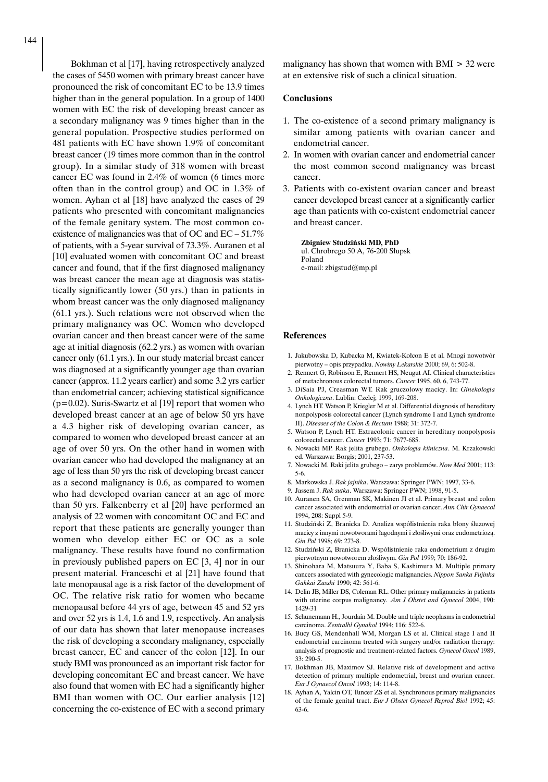Bokhman et al [17], having retrospectively analyzed the cases of 5450 women with primary breast cancer have pronounced the risk of concomitant EC to be 13.9 times higher than in the general population. In a group of 1400 women with EC the risk of developing breast cancer as a secondary malignancy was 9 times higher than in the general population. Prospective studies performed on 481 patients with EC have shown 1.9% of concomitant breast cancer (19 times more common than in the control group). In a similar study of 318 women with breast cancer EC was found in 2.4% of women (6 times more often than in the control group) and OC in 1.3% of women. Ayhan et al [18] have analyzed the cases of 29 patients who presented with concomitant malignancies of the female genitary system. The most common coexistence of malignancies was that of OC and EC – 51.7% of patients, with a 5-year survival of 73.3%. Auranen et al [10] evaluated women with concomitant OC and breast cancer and found, that if the first diagnosed malignancy was breast cancer the mean age at diagnosis was statistically significantly lower (50 yrs.) than in patients in whom breast cancer was the only diagnosed malignancy (61.1 yrs.). Such relations were not observed when the primary malignancy was OC. Women who developed ovarian cancer and then breast cancer were of the same age at initial diagnosis (62.2 yrs.) as women with ovarian cancer only (61.1 yrs.). In our study material breast cancer was diagnosed at a significantly younger age than ovarian cancer (approx. 11.2 years earlier) and some 3.2 yrs earlier than endometrial cancer; achieving statistical significance  $(p=0.02)$ . Suris-Swartz et al [19] report that women who developed breast cancer at an age of below 50 yrs have a 4.3 higher risk of developing ovarian cancer, as compared to women who developed breast cancer at an age of over 50 yrs. On the other hand in women with ovarian cancer who had developed the malignancy at an age of less than 50 yrs the risk of developing breast cancer as a second malignancy is 0.6, as compared to women who had developed ovarian cancer at an age of more than 50 yrs. Falkenberry et al [20] have performed an analysis of 22 women with concomitant OC and EC and report that these patients are generally younger than women who develop either EC or OC as a sole malignancy. These results have found no confirmation in previously published papers on EC [3, 4] nor in our present material. Franceschi et al [21] have found that late menopausal age is a risk factor of the development of OC. The relative risk ratio for women who became menopausal before 44 yrs of age, between 45 and 52 yrs and over 52 yrs is 1.4, 1.6 and 1.9, respectively. An analysis of our data has shown that later menopause increases the risk of developing a secondary malignancy, especially breast cancer, EC and cancer of the colon [12]. In our study BMI was pronounced as an important risk factor for developing concomitant EC and breast cancer. We have also found that women with EC had a significantly higher BMI than women with OC. Our earlier analysis [12] concerning the co-existence of EC with a second primary malignancy has shown that women with BMI > 32 were at en extensive risk of such a clinical situation.

#### **Conclusions**

- 1. The co-existence of a second primary malignancy is similar among patients with ovarian cancer and endometrial cancer.
- 2. In women with ovarian cancer and endometrial cancer the most common second malignancy was breast cancer.
- 3. Patients with co-existent ovarian cancer and breast cancer developed breast cancer at a significantly earlier age than patients with co-existent endometrial cancer and breast cancer.

**Zbigniew Studziƒski MD, PhD** ul. Chrobrego 50 A, 76-200 Słupsk Poland e-mail: zbigstud@mp.pl

#### **References**

- 1. Jakubowska D, Kubacka M, Kwiatek-Kołcon E et al. Mnogi nowotwór pierwotny – opis przypadku. *Nowiny Lekarskie* 2000; 69, 6: 502-8.
- 2. Rennert G, Robinson E, Rennert HS, Neugut AI. Clinical characteristics of metachronous colorectal tumors. *Cancer* 1995, 60, 6, 743-77.
- 3. DiSaia PJ, Creasman WT. Rak gruczo∏owy macicy. In: *Ginekologia Onkologiczna*. Lublin: Czelej; 1999, 169-208.
- 4. Lynch HT. Watson P, Kriegler M et al. Differential diagnosis of hereditary nonpolyposis colorectal cancer (Lynch syndrome I and Lynch syndrome II). *Diseases of the Colon & Rectum* 1988; 31: 372-7.
- 5. Watson P, Lynch HT. Extracolonic cancer in hereditary nonpolyposis colorectal cancer. *Cancer* 1993; 71: 7677-685.
- 6. Nowacki MP. Rak jelita grubego. *Onkologia kliniczna*. M. Krzakowski ed. Warszawa: Borgis; 2001, 237-53.
- 7. Nowacki M. Raki jelita grubego zarys problemów. *Now Med* 2001; 113: 5-6.
- 8. Markowska J. *Rak jajnika*. Warszawa: Springer PWN; 1997, 33-6.
- 9. Jassem J. *Rak sutka*. Warszawa: Springer PWN; 1998, 91-5.
- 10. Auranen SA, Grenman SK, Makinen JI et al. Primary breast and colon cancer associated with endometrial or ovarian cancer. *Ann Chir Gynaecol* 1994, 208: Suppl 5-9.
- 11. Studziński Z, Branicka D. Analiza współistnienia raka błony śluzowej macicy z innymi nowotworami łagodnymi i złośliwymi oraz endometriozą. *Gin Pol* 1998; 69: 273-8.
- 12. Studziński Z, Branicka D. Współistnienie raka endometrium z drugim pierwotnym nowotworem z∏oÊliwym. *Gin Pol* 1999; 70: 186-92.
- 13. Shinohara M, Matsuura Y, Baba S, Kashimura M. Multiple primary cancers associated with gynecologic malignancies. *Nippon Sanka Fujinka Gakkai Zasshi* 1990; 42: 561-6.
- 14. Delin JB, Miller DS, Coleman RL. Other primary malignancies in patients with uterine corpus malignancy. *Am J Obstet and Gynecol* 2004, 190: 1429-31
- 15. Schunemann H., Jourdain M. Double and triple neoplasms in endometrial carcinoma. *Zentralbl Gynakol* 1994; 116: 522-6.
- 16. Bucy GS, Mendenhall WM, Morgan LS et al. Clinical stage I and II endometrial carcinoma treated with surgery and/or radiation therapy: analysis of prognostic and treatment-related factors. *Gynecol Oncol* 1989, 33: 290-5.
- 17. Bokhman JB, Maximov SJ. Relative risk of development and active detection of primary multiple endometrial, breast and ovarian cancer. *Eur J Gynaecol Oncol* 1993; 14: 114-8.
- 18. Ayhan A, Yalcin OT, Tuncer ZS et al. Synchronous primary malignancies of the female genital tract. *Eur J Obstet Gynecol Reprod Biol* 1992; 45: 63-6.